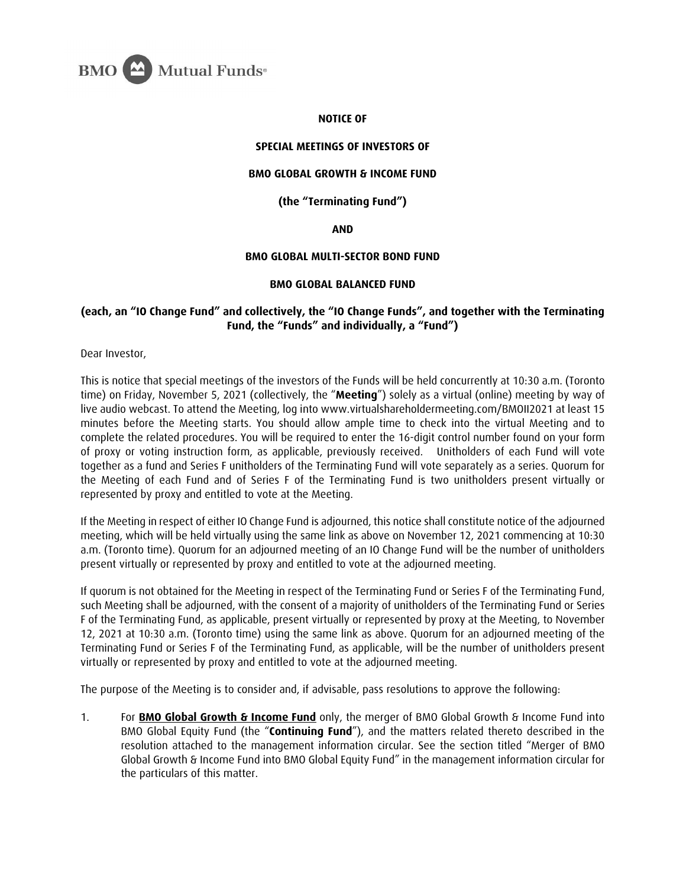

#### **NOTICE OF**

### **SPECIAL MEETINGS OF INVESTORS OF**

## **BMO GLOBAL GROWTH & INCOME FUND**

**(the "Terminating Fund")**

### **AND**

### **BMO GLOBAL MULTI-SECTOR BOND FUND**

#### **BMO GLOBAL BALANCED FUND**

## **(each, an "IO Change Fund" and collectively, the "IO Change Funds", and together with the Terminating Fund, the "Funds" and individually, a "Fund")**

Dear Investor,

This is notice that special meetings of the investors of the Funds will be held concurrently at 10:30 a.m. (Toronto time) on Friday, November 5, 2021 (collectively, the "**Meeting**") solely as a virtual (online) meeting by way of live audio webcast. To attend the Meeting, log into www.virtualshareholdermeeting.com/BMOII2021 at least 15 minutes before the Meeting starts. You should allow ample time to check into the virtual Meeting and to complete the related procedures. You will be required to enter the 16-digit control number found on your form of proxy or voting instruction form, as applicable, previously received. Unitholders of each Fund will vote together as a fund and Series F unitholders of the Terminating Fund will vote separately as a series. Quorum for the Meeting of each Fund and of Series F of the Terminating Fund is two unitholders present virtually or represented by proxy and entitled to vote at the Meeting.

If the Meeting in respect of either IO Change Fund is adjourned, this notice shall constitute notice of the adjourned meeting, which will be held virtually using the same link as above on November 12, 2021 commencing at 10:30 a.m. (Toronto time). Quorum for an adjourned meeting of an IO Change Fund will be the number of unitholders present virtually or represented by proxy and entitled to vote at the adjourned meeting.

If quorum is not obtained for the Meeting in respect of the Terminating Fund or Series F of the Terminating Fund, such Meeting shall be adjourned, with the consent of a majority of unitholders of the Terminating Fund or Series F of the Terminating Fund, as applicable, present virtually or represented by proxy at the Meeting, to November 12, 2021 at 10:30 a.m. (Toronto time) using the same link as above. Quorum for an adjourned meeting of the Terminating Fund or Series F of the Terminating Fund, as applicable, will be the number of unitholders present virtually or represented by proxy and entitled to vote at the adjourned meeting.

The purpose of the Meeting is to consider and, if advisable, pass resolutions to approve the following:

1. For **BMO Global Growth & Income Fund** only, the merger of BMO Global Growth & Income Fund into BMO Global Equity Fund (the "**Continuing Fund**"), and the matters related thereto described in the resolution attached to the management information circular. See the section titled "Merger of BMO Global Growth & Income Fund into BMO Global Equity Fund" in the management information circular for the particulars of this matter.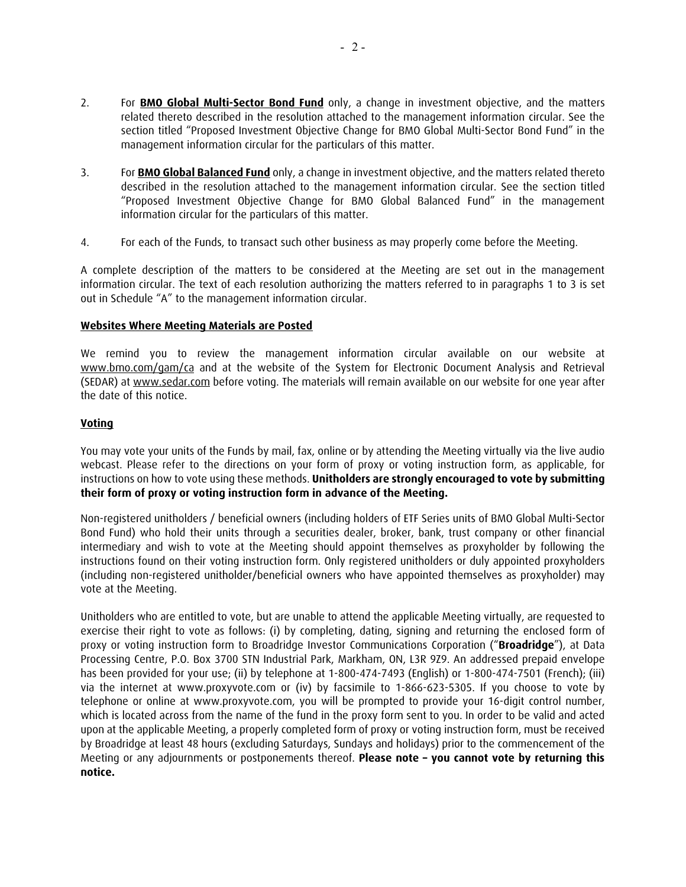- 2. For **BMO Global Multi-Sector Bond Fund** only, a change in investment objective, and the matters related thereto described in the resolution attached to the management information circular. See the section titled "Proposed Investment Objective Change for BMO Global Multi-Sector Bond Fund" in the management information circular for the particulars of this matter.
- 3. For **BMO Global Balanced Fund** only, a change in investment objective, and the matters related thereto described in the resolution attached to the management information circular. See the section titled "Proposed Investment Objective Change for BMO Global Balanced Fund" in the management information circular for the particulars of this matter.
- 4. For each of the Funds, to transact such other business as may properly come before the Meeting.

A complete description of the matters to be considered at the Meeting are set out in the management information circular. The text of each resolution authorizing the matters referred to in paragraphs 1 to 3 is set out in Schedule "A" to the management information circular.

## **Websites Where Meeting Materials are Posted**

We remind you to review the management information circular available on our website at www.bmo.com/gam/ca and at the website of the System for Electronic Document Analysis and Retrieval (SEDAR) at www.sedar.com before voting. The materials will remain available on our website for one year after the date of this notice.

## **Voting**

You may vote your units of the Funds by mail, fax, online or by attending the Meeting virtually via the live audio webcast. Please refer to the directions on your form of proxy or voting instruction form, as applicable, for instructions on how to vote using these methods. **Unitholders are strongly encouraged to vote by submitting their form of proxy or voting instruction form in advance of the Meeting.**

Non-registered unitholders / beneficial owners (including holders of ETF Series units of BMO Global Multi-Sector Bond Fund) who hold their units through a securities dealer, broker, bank, trust company or other financial intermediary and wish to vote at the Meeting should appoint themselves as proxyholder by following the instructions found on their voting instruction form. Only registered unitholders or duly appointed proxyholders (including non-registered unitholder/beneficial owners who have appointed themselves as proxyholder) may vote at the Meeting.

Unitholders who are entitled to vote, but are unable to attend the applicable Meeting virtually, are requested to exercise their right to vote as follows: (i) by completing, dating, signing and returning the enclosed form of proxy or voting instruction form to Broadridge Investor Communications Corporation ("**Broadridge**"), at Data Processing Centre, P.O. Box 3700 STN Industrial Park, Markham, ON, L3R 9Z9. An addressed prepaid envelope has been provided for your use; (ii) by telephone at 1-800-474-7493 (English) or 1-800-474-7501 (French); (iii) via the internet at www.proxyvote.com or (iv) by facsimile to 1-866-623-5305. If you choose to vote by telephone or online at www.proxyvote.com, you will be prompted to provide your 16-digit control number, which is located across from the name of the fund in the proxy form sent to you. In order to be valid and acted upon at the applicable Meeting, a properly completed form of proxy or voting instruction form, must be received by Broadridge at least 48 hours (excluding Saturdays, Sundays and holidays) prior to the commencement of the Meeting or any adjournments or postponements thereof. **Please note – you cannot vote by returning this notice.**